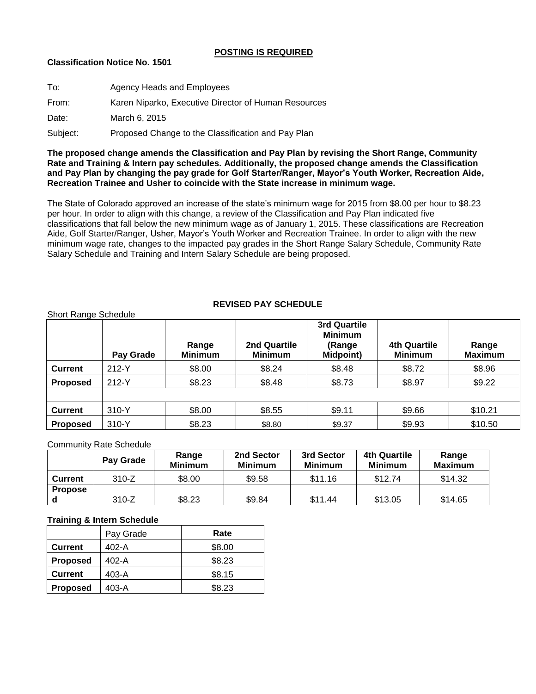### **POSTING IS REQUIRED**

## **Classification Notice No. 1501**

| To:      | Agency Heads and Employees                           |
|----------|------------------------------------------------------|
| From:    | Karen Niparko, Executive Director of Human Resources |
| Date:    | March 6, 2015                                        |
| Subject: | Proposed Change to the Classification and Pay Plan   |

**The proposed change amends the Classification and Pay Plan by revising the Short Range, Community Rate and Training & Intern pay schedules. Additionally, the proposed change amends the Classification and Pay Plan by changing the pay grade for Golf Starter/Ranger, Mayor's Youth Worker, Recreation Aide, Recreation Trainee and Usher to coincide with the State increase in minimum wage.**

The State of Colorado approved an increase of the state's minimum wage for 2015 from \$8.00 per hour to \$8.23 per hour. In order to align with this change, a review of the Classification and Pay Plan indicated five classifications that fall below the new minimum wage as of January 1, 2015. These classifications are Recreation Aide, Golf Starter/Ranger, Usher, Mayor's Youth Worker and Recreation Trainee. In order to align with the new minimum wage rate, changes to the impacted pay grades in the Short Range Salary Schedule, Community Rate Salary Schedule and Training and Intern Salary Schedule are being proposed.

# **REVISED PAY SCHEDULE**

|                 | Pay Grade | Range<br><b>Minimum</b> | 2nd Quartile<br><b>Minimum</b> | 3rd Quartile<br><b>Minimum</b><br>(Range<br><b>Midpoint)</b> | <b>4th Quartile</b><br><b>Minimum</b> | Range<br><b>Maximum</b> |
|-----------------|-----------|-------------------------|--------------------------------|--------------------------------------------------------------|---------------------------------------|-------------------------|
| <b>Current</b>  | 212-Y     | \$8.00                  | \$8.24                         | \$8.48                                                       | \$8.72                                | \$8.96                  |
| <b>Proposed</b> | 212-Y     | \$8.23                  | \$8.48                         | \$8.73                                                       | \$8.97                                | \$9.22                  |
|                 |           |                         |                                |                                                              |                                       |                         |
| <b>Current</b>  | 310-Y     | \$8.00                  | \$8.55                         | \$9.11                                                       | \$9.66                                | \$10.21                 |
| <b>Proposed</b> | 310-Y     | \$8.23                  | \$8.80                         | \$9.37                                                       | \$9.93                                | \$10.50                 |

### Community Rate Schedule

Short Range Schedule

|                | Pay Grade | Range<br><b>Minimum</b> | 2nd Sector<br><b>Minimum</b> | 3rd Sector<br><b>Minimum</b> | 4th Quartile<br><b>Minimum</b> | Range<br><b>Maximum</b> |
|----------------|-----------|-------------------------|------------------------------|------------------------------|--------------------------------|-------------------------|
| <b>Current</b> | $310-Z$   | \$8.00                  | \$9.58                       | \$11.16                      | \$12.74                        | \$14.32                 |
| <b>Propose</b> |           |                         |                              |                              |                                |                         |
|                | 310-Z     | \$8.23                  | \$9.84                       | \$11.44                      | \$13.05                        | \$14.65                 |

## **Training & Intern Schedule**

|                 | Pay Grade | Rate   |
|-----------------|-----------|--------|
| <b>Current</b>  | 402-A     | \$8.00 |
| <b>Proposed</b> | 402-A     | \$8.23 |
| <b>Current</b>  | 403-A     | \$8.15 |
| <b>Proposed</b> | 403-A     | \$8.23 |